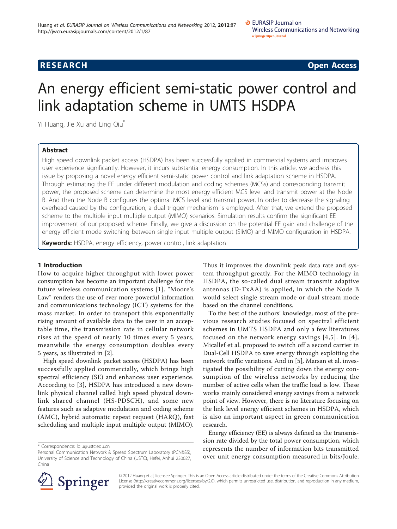# **RESEARCH CONSTRUCTION CONSTRUCTS**

# An energy efficient semi-static power control and link adaptation scheme in UMTS HSDPA

Yi Huang, Jie Xu and Ling Qiu<sup>\*</sup>

# Abstract

High speed downlink packet access (HSDPA) has been successfully applied in commercial systems and improves user experience significantly. However, it incurs substantial energy consumption. In this article, we address this issue by proposing a novel energy efficient semi-static power control and link adaptation scheme in HSDPA. Through estimating the EE under different modulation and coding schemes (MCSs) and corresponding transmit power, the proposed scheme can determine the most energy efficient MCS level and transmit power at the Node B. And then the Node B configures the optimal MCS level and transmit power. In order to decrease the signaling overhead caused by the configuration, a dual trigger mechanism is employed. After that, we extend the proposed scheme to the multiple input multiple output (MIMO) scenarios. Simulation results confirm the significant EE improvement of our proposed scheme. Finally, we give a discussion on the potential EE gain and challenge of the energy efficient mode switching between single input multiple output (SIMO) and MIMO configuration in HSDPA.

Keywords: HSDPA, energy efficiency, power control, link adaptation

# 1 Introduction

How to acquire higher throughput with lower power consumption has become an important challenge for the future wireless communication systems [[1](#page-11-0)]. "Moore's Law" renders the use of ever more powerful information and communications technology (ICT) systems for the mass market. In order to transport this exponentially rising amount of available data to the user in an acceptable time, the transmission rate in cellular network rises at the speed of nearly 10 times every 5 years, meanwhile the energy consumption doubles every 5 years, as illustrated in [\[2](#page-11-0)].

High speed downlink packet access (HSDPA) has been successfully applied commercially, which brings high spectral efficiency (SE) and enhances user experience. According to [[3\]](#page-11-0), HSDPA has introduced a new downlink physical channel called high speed physical downlink shared channel (HS-PDSCH), and some new features such as adaptive modulation and coding scheme (AMC), hybrid automatic repeat request (HARQ), fast scheduling and multiple input multiple output (MIMO).

\* Correspondence: [lqiu@ustc.edu.cn](mailto:lqiu@ustc.edu.cn)

Thus it improves the downlink peak data rate and system throughput greatly. For the MIMO technology in HSDPA, the so-called dual stream transmit adaptive antennas (D-TxAA) is applied, in which the Node B would select single stream mode or dual stream mode based on the channel conditions.

To the best of the authors' knowledge, most of the previous research studies focused on spectral efficient schemes in UMTS HSDPA and only a few literatures focused on the network energy savings [[4](#page-11-0),[5](#page-11-0)]. In [[4\]](#page-11-0), Micallef et al. proposed to switch off a second carrier in Dual-Cell HSDPA to save energy through exploiting the network traffic variations. And in [[5\]](#page-11-0), Marsan et al. investigated the possibility of cutting down the energy consumption of the wireless networks by reducing the number of active cells when the traffic load is low. These works mainly considered energy savings from a network point of view. However, there is no literature focusing on the link level energy efficient schemes in HSDPA, which is also an important aspect in green communication research.

Energy efficiency (EE) is always defined as the transmission rate divided by the total power consumption, which represents the number of information bits transmitted over unit energy consumption measured in bits/Joule.



© 2012 Huang et al; licensee Springer. This is an Open Access article distributed under the terms of the Creative Commons Attribution License [\(http://creativecommons.org/licenses/by/2.0](http://creativecommons.org/licenses/by/2.0)), which permits unrestricted use, distribution, and reproduction in any medium, provided the original work is properly cited.

Personal Communication Network & Spread Spectrum Laboratory (PCN&SS), University of Science and Technology of China (USTC), Hefei, Anhui 230027, China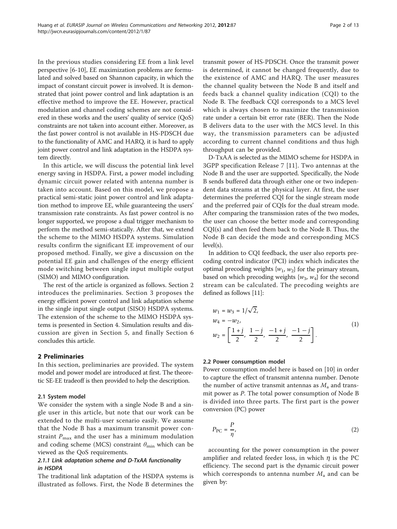In the previous studies considering EE from a link level perspective [\[6-10](#page-12-0)], EE maximization problems are formulated and solved based on Shannon capacity, in which the impact of constant circuit power is involved. It is demonstrated that joint power control and link adaptation is an effective method to improve the EE. However, practical modulation and channel coding schemes are not considered in these works and the users' quality of service (QoS) constraints are not taken into account either. Moreover, as the fast power control is not available in HS-PDSCH due to the functionality of AMC and HARQ, it is hard to apply joint power control and link adaptation in the HSDPA system directly.

In this article, we will discuss the potential link level energy saving in HSDPA. First, a power model including dynamic circuit power related with antenna number is taken into account. Based on this model, we propose a practical semi-static joint power control and link adaptation method to improve EE, while guaranteeing the users' transmission rate constraints. As fast power control is no longer supported, we propose a dual trigger mechanism to perform the method semi-statically. After that, we extend the scheme to the MIMO HSDPA systems. Simulation results confirm the significant EE improvement of our proposed method. Finally, we give a discussion on the potential EE gain and challenges of the energy efficient mode switching between single input multiple output (SIMO) and MIMO configuration.

The rest of the article is organized as follows. Section 2 introduces the preliminaries. Section 3 proposes the energy efficient power control and link adaptation scheme in the single input single output (SISO) HSDPA systems. The extension of the scheme to the MIMO HSDPA systems is presented in Section 4. Simulation results and discussion are given in Section 5, and finally Section 6 concludes this article.

## 2 Preliminaries

In this section, preliminaries are provided. The system model and power model are introduced at first. The theoretic SE-EE tradeoff is then provided to help the description.

## 2.1 System model

We consider the system with a single Node B and a single user in this article, but note that our work can be extended to the multi-user scenario easily. We assume that the Node B has a maximum transmit power constraint  $P_{\text{max}}$  and the user has a minimum modulation and coding scheme (MCS) constraint  $\theta_{\min}$  which can be viewed as the QoS requirements.

# 2.1.1 Link adaptation scheme and D-TxAA functionality in HSDPA

The traditional link adaptation of the HSDPA systems is illustrated as follows. First, the Node B determines the

transmit power of HS-PDSCH. Once the transmit power is determined, it cannot be changed frequently, due to the existence of AMC and HARQ. The user measures the channel quality between the Node B and itself and feeds back a channel quality indication (CQI) to the Node B. The feedback CQI corresponds to a MCS level which is always chosen to maximize the transmission rate under a certain bit error rate (BER). Then the Node B delivers data to the user with the MCS level. In this way, the transmission parameters can be adjusted according to current channel conditions and thus high throughput can be provided.

D-TxAA is selected as the MIMO scheme for HSDPA in 3GPP specification Release 7 [[11](#page-12-0)]. Two antennas at the Node B and the user are supported. Specifically, the Node B sends buffered data through either one or two independent data streams at the physical layer. At first, the user determines the preferred CQI for the single stream mode and the preferred pair of CQIs for the dual stream mode. After comparing the transmission rates of the two modes, the user can choose the better mode and corresponding CQI(s) and then feed them back to the Node B. Thus, the Node B can decide the mode and corresponding MCS level(s).

In addition to CQI feedback, the user also reports precoding control indicator (PCI) index which indicates the optimal precoding weights  $\{w_1, w_2\}$  for the primary stream, based on which precoding weights  $\{w_3, w_4\}$  for the second stream can be calculated. The precoding weights are defined as follows [\[11\]](#page-12-0):

$$
w_1 = w_3 = 1/\sqrt{2},
$$
  
\n
$$
w_4 = -w_2,
$$
  
\n
$$
w_2 = \left[\frac{1+j}{2}, \frac{1-j}{2}, \frac{-1+j}{2}, \frac{-1-j}{2}\right].
$$
\n(1)

## 2.2 Power consumption model

Power consumption model here is based on [[10\]](#page-12-0) in order to capture the effect of transmit antenna number. Denote the number of active transmit antennas as  $M_a$  and transmit power as P. The total power consumption of Node B is divided into three parts. The first part is the power conversion (PC) power

$$
P_{\rm PC} = \frac{P}{\eta},\tag{2}
$$

accounting for the power consumption in the power amplifier and related feeder loss, in which  $\eta$  is the PC efficiency. The second part is the dynamic circuit power which corresponds to antenna number  $M_a$  and can be given by: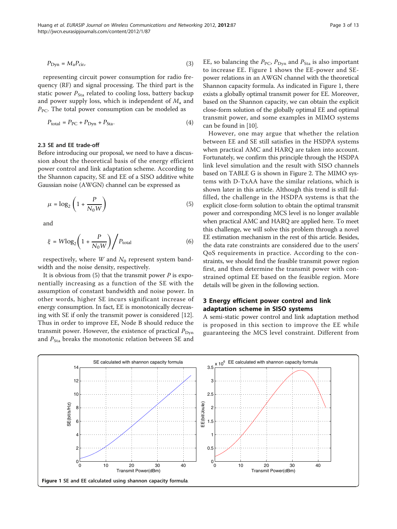$$
P_{\text{Dyn}} = M_{\text{a}} P_{\text{cir}} \tag{3}
$$

representing circuit power consumption for radio frequency (RF) and signal processing. The third part is the static power  $P_{\text{Sta}}$  related to cooling loss, battery backup and power supply loss, which is independent of  $M_a$  and  $P_{\text{PC}}$ . The total power consumption can be modeled as

$$
P_{\text{total}} = P_{\text{PC}} + P_{\text{Dyn}} + P_{\text{Sta}}.\tag{4}
$$

#### 2.3 SE and EE trade-off

Before introducing our proposal, we need to have a discussion about the theoretical basis of the energy efficient power control and link adaptation scheme. According to the Shannon capacity, SE and EE of a SISO additive white Gaussian noise (AWGN) channel can be expressed as

$$
\mu = \log_2\left(1 + \frac{P}{N_0 W}\right) \tag{5}
$$

and

$$
\xi = W \log_2 \left( 1 + \frac{P}{N_0 W} \right) / P_{\text{total}} \tag{6}
$$

respectively, where  $W$  and  $N_0$  represent system bandwidth and the noise density, respectively.

It is obvious from  $(5)$  that the transmit power P is exponentially increasing as a function of the SE with the assumption of constant bandwidth and noise power. In other words, higher SE incurs significant increase of energy consumption. In fact, EE is monotonically decreasing with SE if only the transmit power is considered [\[12](#page-12-0)]. Thus in order to improve EE, Node B should reduce the transmit power. However, the existence of practical  $P_{\text{Dyn}}$ and  $P_{\text{Sta}}$  breaks the monotonic relation between SE and EE, so balancing the  $P_{PC}$ ,  $P_{Dyn}$  and  $P_{Sta}$  is also important to increase EE. Figure 1 shows the EE-power and SEpower relations in an AWGN channel with the theoretical Shannon capacity formula. As indicated in Figure 1, there exists a globally optimal transmit power for EE. Moreover, based on the Shannon capacity, we can obtain the explicit close-form solution of the globally optimal EE and optimal transmit power, and some examples in MIMO systems can be found in [[10](#page-12-0)].

However, one may argue that whether the relation between EE and SE still satisfies in the HSDPA systems when practical AMC and HARQ are taken into account. Fortunately, we confirm this principle through the HSDPA link level simulation and the result with SISO channels based on TABLE G is shown in Figure [2.](#page-3-0) The MIMO systems with D-TxAA have the similar relations, which is shown later in this article. Although this trend is still fulfilled, the challenge in the HSDPA systems is that the explicit close-form solution to obtain the optimal transmit power and corresponding MCS level is no longer available when practical AMC and HARQ are applied here. To meet this challenge, we will solve this problem through a novel EE estimation mechanism in the rest of this article. Besides, the data rate constraints are considered due to the users' QoS requirements in practice. According to the constraints, we should find the feasible transmit power region first, and then determine the transmit power with constrained optimal EE based on the feasible region. More details will be given in the following section.

# 3 Energy efficient power control and link adaptation scheme in SISO systems

A semi-static power control and link adaptation method is proposed in this section to improve the EE while guaranteeing the MCS level constraint. Different from

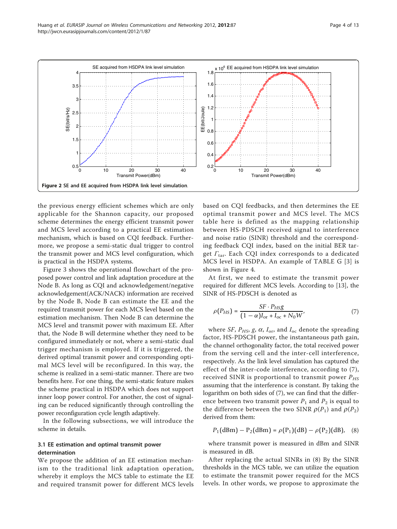<span id="page-3-0"></span>

the previous energy efficient schemes which are only applicable for the Shannon capacity, our proposed scheme determines the energy efficient transmit power and MCS level according to a practical EE estimation mechanism, which is based on CQI feedback. Furthermore, we propose a semi-static dual trigger to control the transmit power and MCS level configuration, which is practical in the HSDPA systems.

Figure [3](#page-4-0) shows the operational flowchart of the proposed power control and link adaptation procedure at the Node B. As long as CQI and acknowledgement/negative acknowledgement(ACK/NACK) information are received by the Node B, Node B can estimate the EE and the required transmit power for each MCS level based on the estimation mechanism. Then Node B can determine the MCS level and transmit power with maximum EE. After that, the Node B will determine whether they need to be configured immediately or not, where a semi-static dual trigger mechanism is employed. If it is triggered, the derived optimal transmit power and corresponding optimal MCS level will be reconfigured. In this way, the scheme is realized in a semi-static manner. There are two benefits here. For one thing, the semi-static feature makes the scheme practical in HSDPA which does not support inner loop power control. For another, the cost of signaling can be reduced significantly through controlling the power reconfiguration cycle length adaptively.

In the following subsections, we will introduce the scheme in details.

## 3.1 EE estimation and optimal transmit power determination

We propose the addition of an EE estimation mechanism to the traditional link adaptation operation, whereby it employs the MCS table to estimate the EE and required transmit power for different MCS levels based on CQI feedbacks, and then determines the EE optimal transmit power and MCS level. The MCS table here is defined as the mapping relationship between HS-PDSCH received signal to interference and noise ratio (SINR) threshold and the corresponding feedback CQI index, based on the initial BER target  $\Gamma_{\text{tar}}$ . Each CQI index corresponds to a dedicated MCS level in HSDPA. An example of TABLE G [[3](#page-11-0)] is shown in Figure [4](#page-5-0).

At first, we need to estimate the transmit power required for different MCS levels. According to [\[13](#page-12-0)], the SINR of HS-PDSCH is denoted as

$$
\rho(P_{HS}) = \frac{SF \cdot P_{HS}g}{(1 - \alpha)I_{or} + I_{oc} + N_0W'},\tag{7}
$$

where SF,  $P_{HS}$ , g,  $\alpha$ ,  $I_{\text{or}}$ , and  $I_{\text{oc}}$  denote the spreading factor, HS-PDSCH power, the instantaneous path gain, the channel orthogonality factor, the total received power from the serving cell and the inter-cell interference, respectively. As the link level simulation has captured the effect of the inter-code interference, according to (7), received SINR is proportional to transmit power  $P_{HS}$ assuming that the interference is constant. By taking the logarithm on both sides of (7), we can find that the difference between two transmit power  $P_1$  and  $P_2$  is equal to the difference between the two SINR  $\rho(P_1)$  and  $\rho(P_2)$ derived from them:

$$
P_1(dBm) - P_2(dBm) = \rho(P_1)(dB) - \rho(P_2)(dB),
$$
 (8)

where transmit power is measured in dBm and SINR is measured in dB.

After replacing the actual SINRs in (8) By the SINR thresholds in the MCS table, we can utilize the equation to estimate the transmit power required for the MCS levels. In other words, we propose to approximate the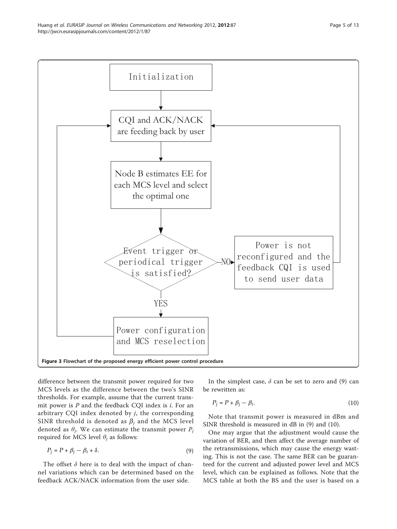<span id="page-4-0"></span>

difference between the transmit power required for two MCS levels as the difference between the two's SINR thresholds. For example, assume that the current transmit power is  $P$  and the feedback CQI index is  $i$ . For an arbitrary CQI index denoted by j, the corresponding SINR threshold is denoted as  $\beta_i$  and the MCS level denoted as  $\theta_i$ . We can estimate the transmit power  $P_i$ required for MCS level  $\theta_i$  as follows:

$$
P_j = P + \beta_j - \beta_i + \delta. \tag{9}
$$

The offset  $\delta$  here is to deal with the impact of channel variations which can be determined based on the feedback ACK/NACK information from the user side.

In the simplest case,  $\delta$  can be set to zero and (9) can be rewritten as:

$$
P_j = P + \beta_j - \beta_i. \tag{10}
$$

Note that transmit power is measured in dBm and SINR threshold is measured in dB in  $(9)$  and  $(10)$ .

One may argue that the adjustment would cause the variation of BER, and then affect the average number of the retransmissions, which may cause the energy wasting. This is not the case. The same BER can be guaranteed for the current and adjusted power level and MCS level, which can be explained as follows. Note that the MCS table at both the BS and the user is based on a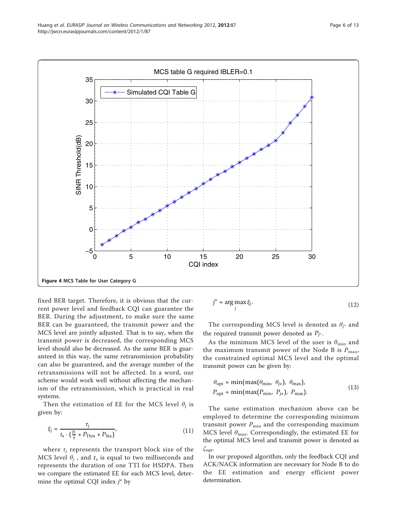<span id="page-5-0"></span>

fixed BER target. Therefore, it is obvious that the current power level and feedback CQI can guarantee the BER. During the adjustment, to make sure the same BER can be guaranteed, the transmit power and the MCS level are jointly adjusted. That is to say, when the transmit power is decreased, the corresponding MCS level should also be decreased. As the same BER is guaranteed in this way, the same retransmission probability can also be guaranteed, and the average number of the retransmissions will not be affected. In a word, our scheme would work well without affecting the mechanism of the retransmission, which is practical in real systems.

Then the estimation of EE for the MCS level  $\theta_i$  is given by:

$$
\xi_j = \frac{\tau_j}{t_s \cdot \left(\frac{p_j}{\eta} + P_{\text{Dyn}} + P_{\text{Sta}}\right)},\tag{11}
$$

where  $\tau_i$  represents the transport block size of the MCS level  $\theta_i$ , and  $t_s$  is equal to two milliseconds and represents the duration of one TTI for HSDPA. Then we compare the estimated EE for each MCS level, determine the optimal CQI index  $j^*$  by

$$
j^* = \underset{j}{\arg \max} \xi_j. \tag{12}
$$

The corresponding MCS level is denoted as  $\theta_{i^*}$  and the required transmit power denoted as *Pj* ∗ .

As the minimum MCS level of the user is  $\theta_{\min}$  and the maximum transmit power of the Node B is  $P_{\text{max}}$ , the constrained optimal MCS level and the optimal transmit power can be given by:

$$
\theta_{\rm opt} = \min(\max(\theta_{\rm min}, \theta_{j*}), \theta_{\rm max}),
$$
  
\n
$$
P_{\rm opt} = \min(\max(P_{\rm min}, P_{j*}), P_{\rm max}).
$$
\n(13)

The same estimation mechanism above can be employed to determine the corresponding minimum transmit power  $P_{\text{min}}$  and the corresponding maximum MCS level  $\theta_{\text{max}}$ . Correspondingly, the estimated EE for the optimal MCS level and transmit power is denoted as ξopt.

In our proposed algorithm, only the feedback CQI and ACK/NACK information are necessary for Node B to do the EE estimation and energy efficient power determination.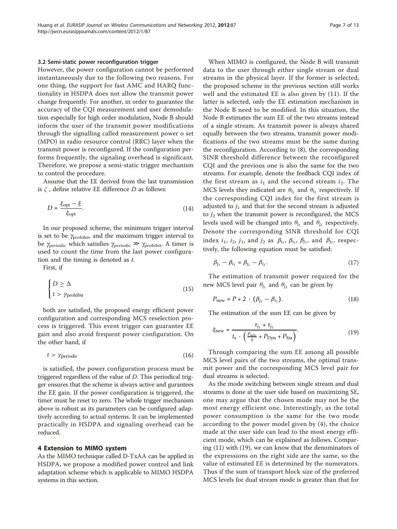#### 3.2 Semi-static power reconfiguration trigger

However, the power configuration cannot be performed instantaneously due to the following two reasons. For one thing, the support for fast AMC and HARQ functionality in HSDPA does not allow the transmit power change frequently. For another, in order to guarantee the accuracy of the CQI measurement and user demodulation especially for high order modulation, Node B should inform the user of the transmit power modifications through the signalling called measurement power o set (MPO) in radio resource control (RRC) layer when the transmit power is reconfigured. If the configuration performs frequently, the signaling overhead is significant. Therefore, we propose a semi-static trigger mechanism to control the procedure.

Assume that the EE derived from the last transmission is  $\xi$ , define relative EE difference D as follows:

$$
D = \frac{\xi_{\rm opt} - \xi}{\xi_{\rm opt}}.\tag{14}
$$

In our proposed scheme, the minimum trigger interval is set to be  $\gamma_{\text{prohibit}}$ , and the maximum trigger interval to be  $\gamma_{periodic}$  which satisfies  $\gamma_{periodic} \gg \gamma_{probability}$ . A timer is used to count the time from the last power configuration and the timing is denoted as  $t$ .

First, if

$$
\begin{cases} D \geq \Delta \\ t > \gamma_{\text{prohibit}} \end{cases} \tag{15}
$$

both are satisfied, the proposed energy efficient power configuration and corresponding MCS reselection process is triggered. This event trigger can guarantee EE gain and also avoid frequent power configuration. On the other hand, if

$$
t > \gamma_{\text{periodic}} \tag{16}
$$

is satisfied, the power configuration process must be triggered regardless of the value of D. This periodical trigger ensures that the scheme is always active and gurantees the EE gain. If the power configuration is triggered, the timer must be reset to zero. The whole trigger mechanism above is robust as its parameters can be configured adaptively according to actual systems. It can be implemented practically in HSDPA and signaling overhead can be reduced.

#### 4 Extension to MIMO system

As the MIMO technique called D-TxAA can be applied in HSDPA, we propose a modified power control and link adaptation scheme which is applicable to MIMO HSDPA systems in this section.

When MIMO is configured, the Node B will transmit data to the user through either single stream or dual streams in the physical layer. If the former is selected, the proposed scheme in the previous section still works well and the estimated EE is also given by (11). If the latter is selected, only the EE estimation mechanism in the Node B need to be modified. In this situation, the Node B estimates the sum EE of the two streams instead of a single stream. As transmit power is always shared equally between the two streams, transmit power modifications of the two streams must be the same during the reconfiguration. According to (8), the corresponding SINR threshold difference between the reconfigured CQI and the previous one is also the same for the two streams. For example, denote the feedback CQI index of the first stream as  $i_1$  and the second stream  $i_2$ . The MCS levels they indicated are  $\theta_{i_1}$  and  $\theta_{i_2}$  respectively. If the corresponding CQI index for the first stream is adjusted to  $j_1$  and that for the second stream is adjusted to  $j_2$  when the transmit power is reconfigured, the MCS levels used will be changed into  $\theta_{j_1}$  and  $\theta_{j_2}$  respectively. Denote the corresponding SINR threshold for CQI index  $i_1$ ,  $i_2$ ,  $j_1$ , and  $j_2$  as  $\beta_{i_1}$ ,  $\beta_{i_2}$ ,  $\beta_{j_1}$ , and  $\beta_{j_2}$ , respectively, the following equation must be satisfied:

$$
\beta_{j_1} - \beta_{i_1} = \beta_{j_2} - \beta_{i_2}.
$$
\n(17)

The estimation of transmit power required for the new MCS level pair  $\theta_{j_1}$  and  $\theta_{j_2}$  can be given by

$$
P_{\text{new}} = P + 2 \cdot (\beta_{j_1} - \beta_{i_1}). \tag{18}
$$

The estimation of the sum EE can be given by

$$
\xi_{\text{new}} = \frac{\tau_{j_1} + \tau_{j_2}}{t_s \cdot \left(\frac{P_{\text{new}}}{\eta} + P_{\text{Dyn}} + P_{\text{Sta}}\right)}.
$$
(19)

Through comparing the sum EE among all possible MCS level pairs of the two streams, the optimal transmit power and the corresponding MCS level pair for dual streams is selected.

As the mode switching between single stream and dual streams is done at the user side based on maximizing SE, one may argue that the chosen mode may not be the most energy efficient one. Interestingly, as the total power consumption is the same for the two mode according to the power model given by (4), the choice made at the user side can lead to the most energy efficient mode, which can be explained as follows. Comparing (11) with (19), we can know that the denominators of the expressions on the right side are the same, so the value of estimated EE is determined by the numerators. Thus if the sum of transport block size of the preferred MCS levels for dual stream mode is greater than that for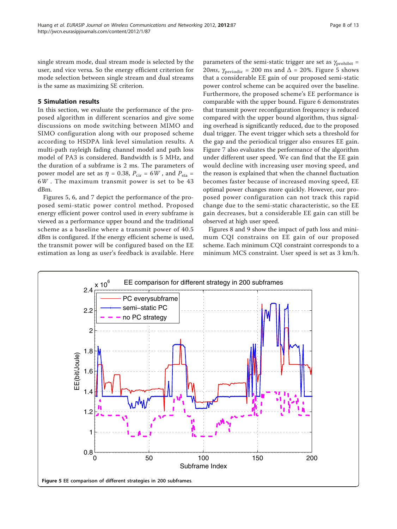single stream mode, dual stream mode is selected by the user, and vice versa. So the energy efficient criterion for mode selection between single stream and dual streams is the same as maximizing SE criterion.

# 5 Simulation results

In this section, we evaluate the performance of the proposed algorithm in different scenarios and give some discussions on mode switching between MIMO and SIMO configuration along with our proposed scheme according to HSDPA link level simulation results. A multi-path rayleigh fading channel model and path loss model of PA3 is considered. Bandwidth is 5 MHz, and the duration of a subframe is 2 ms. The parameters of power model are set as  $\eta = 0.38$ ,  $P_{\text{cir}} = 6W$ , and  $P_{\text{sta}} =$ <sup>6</sup>W . The maximum transmit power is set to be 43 dBm.

Figures 5, [6](#page-8-0), and [7](#page-8-0) depict the performance of the proposed semi-static power control method. Proposed energy efficient power control used in every subframe is viewed as a performance upper bound and the traditional scheme as a baseline where a transmit power of 40.5 dBm is configured. If the energy efficient scheme is used, the transmit power will be configured based on the EE estimation as long as user's feedback is available. Here

parameters of the semi-static trigger are set as  $\gamma_{\text{probability}} =$ 20ms,  $\gamma_{\text{periodic}}$  = 200 ms and  $\Delta$  = 20%. Figure 5 shows that a considerable EE gain of our proposed semi-static power control scheme can be acquired over the baseline. Furthermore, the proposed scheme's EE performance is comparable with the upper bound. Figure [6](#page-8-0) demonstrates that transmit power reconfiguration frequency is reduced compared with the upper bound algorithm, thus signaling overhead is significantly reduced, due to the proposed dual trigger. The event trigger which sets a threshold for the gap and the periodical trigger also ensures EE gain. Figure [7](#page-8-0) also evaluates the performance of the algorithm under different user speed. We can find that the EE gain would decline with increasing user moving speed, and the reason is explained that when the channel fluctuation becomes faster because of increased moving speed, EE optimal power changes more quickly. However, our proposed power configuration can not track this rapid change due to the semi-static characteristic, so the EE gain decreases, but a considerable EE gain can still be observed at high user speed.

Figures [8](#page-9-0) and [9](#page-9-0) show the impact of path loss and minimum CQI constrains on EE gain of our proposed scheme. Each minimum CQI constraint corresponds to a minimum MCS constraint. User speed is set as 3 km/h.

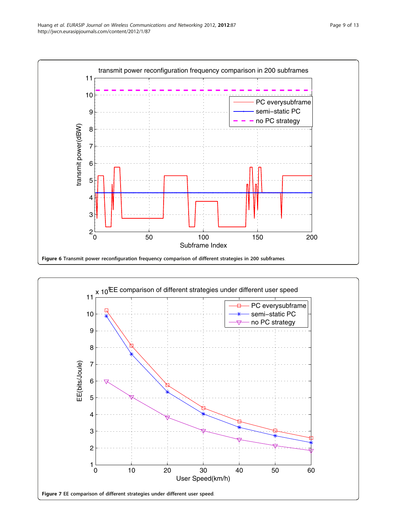<span id="page-8-0"></span>

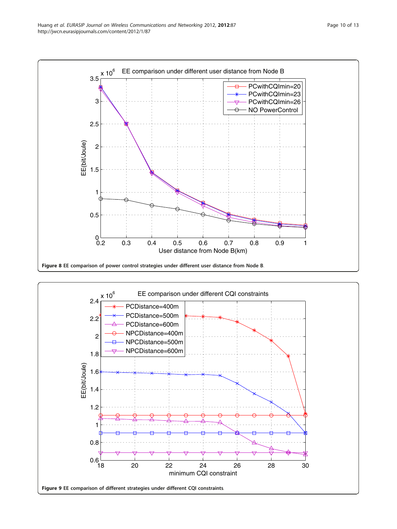<span id="page-9-0"></span>

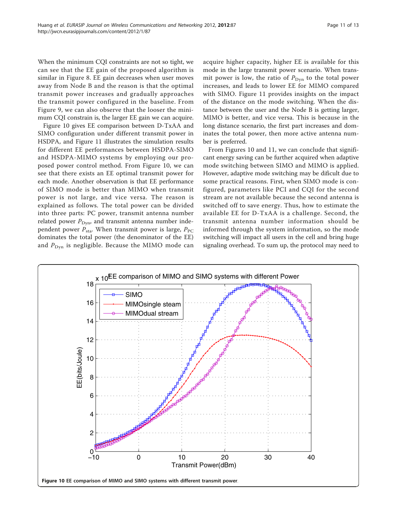When the minimum CQI constraints are not so tight, we can see that the EE gain of the proposed algorithm is similar in Figure [8.](#page-9-0) EE gain decreases when user moves away from Node B and the reason is that the optimal transmit power increases and gradually approaches the transmit power configured in the baseline. From Figure [9,](#page-9-0) we can also observe that the looser the minimum CQI constrain is, the larger EE gain we can acquire.

Figure 10 gives EE comparison between D-TxAA and SIMO configuration under different transmit power in HSDPA, and Figure [11](#page-11-0) illustrates the simulation results for different EE performances between HSDPA-SIMO and HSDPA-MIMO systems by employing our proposed power control method. From Figure 10, we can see that there exists an EE optimal transmit power for each mode. Another observation is that EE performance of SIMO mode is better than MIMO when transmit power is not large, and vice versa. The reason is explained as follows. The total power can be divided into three parts: PC power, transmit antenna number related power  $P_{\text{Dyn}}$ , and transmit antenna number independent power  $P_{sta}$ . When transmit power is large,  $P_{PC}$ dominates the total power (the denominator of the EE) and  $P_{\text{Dvn}}$  is negligible. Because the MIMO mode can acquire higher capacity, higher EE is available for this mode in the large transmit power scenario. When transmit power is low, the ratio of  $P_{\text{Dyn}}$  to the total power increases, and leads to lower EE for MIMO compared with SIMO. Figure [11](#page-11-0) provides insights on the impact of the distance on the mode switching. When the distance between the user and the Node B is getting larger, MIMO is better, and vice versa. This is because in the long distance scenario, the first part increases and dominates the total power, then more active antenna number is preferred.

From Figures 10 and [11,](#page-11-0) we can conclude that significant energy saving can be further acquired when adaptive mode switching between SIMO and MIMO is applied. However, adaptive mode switching may be dificult due to some practical reasons. First, when SIMO mode is configured, parameters like PCI and CQI for the second stream are not available because the second antenna is switched off to save energy. Thus, how to estimate the available EE for D-TxAA is a challenge. Second, the transmit antenna number information should be informed through the system information, so the mode switching will impact all users in the cell and bring huge signaling overhead. To sum up, the protocol may need to

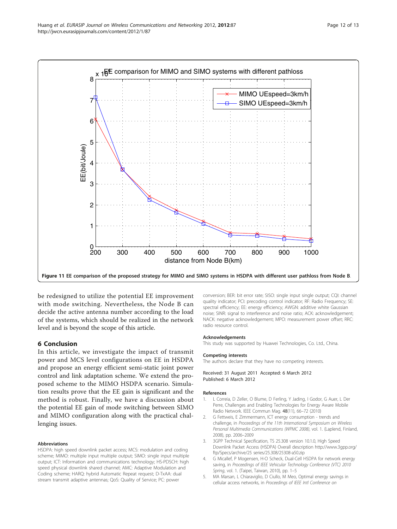<span id="page-11-0"></span>

Figure 11 EE comparison of the proposed strategy for MIMO and SIMO systems in HSDPA with different user pathloss from Node B.

be redesigned to utilize the potential EE improvement with mode switching. Nevertheless, the Node B can decide the active antenna number according to the load of the systems, which should be realized in the network level and is beyond the scope of this article.

# 6 Conclusion

In this article, we investigate the impact of transmit power and MCS level configurations on EE in HSDPA and propose an energy efficient semi-static joint power control and link adaptation scheme. We extend the proposed scheme to the MIMO HSDPA scenario. Simulation results prove that the EE gain is significant and the method is robust. Finally, we have a discussion about the potential EE gain of mode switching between SIMO and MIMO configuration along with the practical challenging issues.

#### Abbreviations

HSDPA: high speed downlink packet access; MCS: modulation and coding scheme; MIMO: multiple input multiple output; SIMO: single input multiple output; ICT: Information and communications technology; HS-PDSCH: high speed physical downlink shared channel; AMC: Adaptive Modulation and Coding scheme; HARQ: hybrid Automatic Repeat request; D-TxAA: dual stream transmit adaptive antennas; QoS: Quality of Service; PC: power

conversion; BER: bit error rate; SISO: single input single output; CQI: channel quality indicator; PCI: precoding control indicator; RF: Radio Frequency; SE: spectral efficiency; EE: energy efficiency; AWGN: additive white Gaussian noise; SINR: signal to interference and noise ratio; ACK: acknowledgement; NACK: negative acknowledgement; MPO: measurement power offset; RRC: radio resource control.

#### Acknowledgements

This study was supported by Huawei Technologies, Co. Ltd., China.

#### Competing interests

The authors declare that they have no competing interests.

#### Received: 31 August 2011 Accepted: 6 March 2012 Published: 6 March 2012

#### References

- 1. L Correia, D Zeller, O Blume, D Ferling, Y Jading, I Godor, G Auer, L Der Perre, Challenges and Enabling Technologies for Energy Aware Mobile Radio Network. IEEE Commun Mag. 48(11), 66–72 (2010)
- 2. G Fettweis, E Zimmermann, ICT energy consumption trends and challenge, in Proceedings of the 11th International Symposium on Wireless Personal Multimedia Communications (WPMC 2008), vol. 1. (Laplend, Finland, 2008), pp. 2006–2009
- 3. 3GPP Technical Specification, TS 25.308 version 10.1.0, High Speed Downlink Packet Access (HSDPA) Overall description [http://www.3gpp.org/](http://www.3gpp.org/ftp/Specs/archive/25 series/25.308/25308-a50.zip) [ftp/Specs/archive/25 series/25.308/25308-a50.zip](http://www.3gpp.org/ftp/Specs/archive/25 series/25.308/25308-a50.zip)
- 4. G Micallef, P Mogensen, H-O Scheck, Dual-Cell HSDPA for network energy saving, in Proceedings of IEEE Vehicular Technology Conference (VTC) 2010 Spring, vol. 1. (Taipei, Taiwan, 2010), pp. 1–5
- 5. MA Marsan, L Chiaraviglio, D Ciullo, M Meo, Optimal energy savings in cellular access networks, in Proceedings of IEEE Intl Conference on